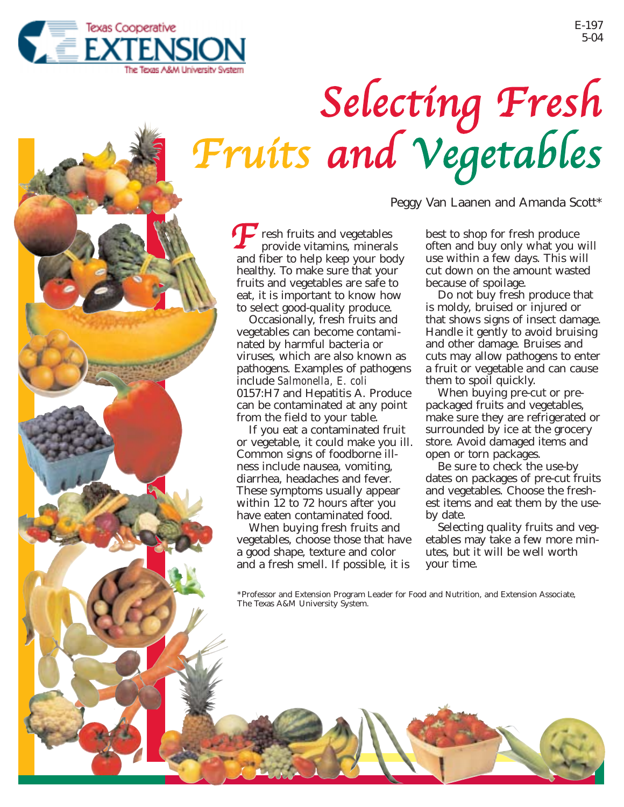

## Selecting Fresh Fruits and Vegetables

Peggy Van Laanen and Amanda Scott\*

**F** resh fruits and vegetables<br>provide vitamins, mineral provide vitamins, minerals and fiber to help keep your body healthy. To make sure that your fruits and vegetables are safe to eat, it is important to know how to select good-quality produce.

Occasionally, fresh fruits and vegetables can become contaminated by harmful bacteria or viruses, which are also known as pathogens. Examples of pathogens include *Salmonella, E. coli* 0157:H7 and Hepatitis A. Produce can be contaminated at any point from the field to your table.

If you eat a contaminated fruit or vegetable, it could make you ill. Common signs of foodborne illness include nausea, vomiting, diarrhea, headaches and fever. These symptoms usually appear within 12 to 72 hours after you have eaten contaminated food.

When buying fresh fruits and vegetables, choose those that have a good shape, texture and color and a fresh smell. If possible, it is

best to shop for fresh produce often and buy only what you will use within a few days. This will cut down on the amount wasted because of spoilage.

Do not buy fresh produce that is moldy, bruised or injured or that shows signs of insect damage. Handle it gently to avoid bruising and other damage. Bruises and cuts may allow pathogens to enter a fruit or vegetable and can cause them to spoil quickly.

When buying pre-cut or prepackaged fruits and vegetables, make sure they are refrigerated or surrounded by ice at the grocery store. Avoid damaged items and open or torn packages.

Be sure to check the use-by dates on packages of pre-cut fruits and vegetables. Choose the freshest items and eat them by the useby date.

Selecting quality fruits and vegetables may take a few more minutes, but it will be well worth your time.

\*Professor and Extension Program Leader for Food and Nutrition, and Extension Associate, The Texas A&M University System.